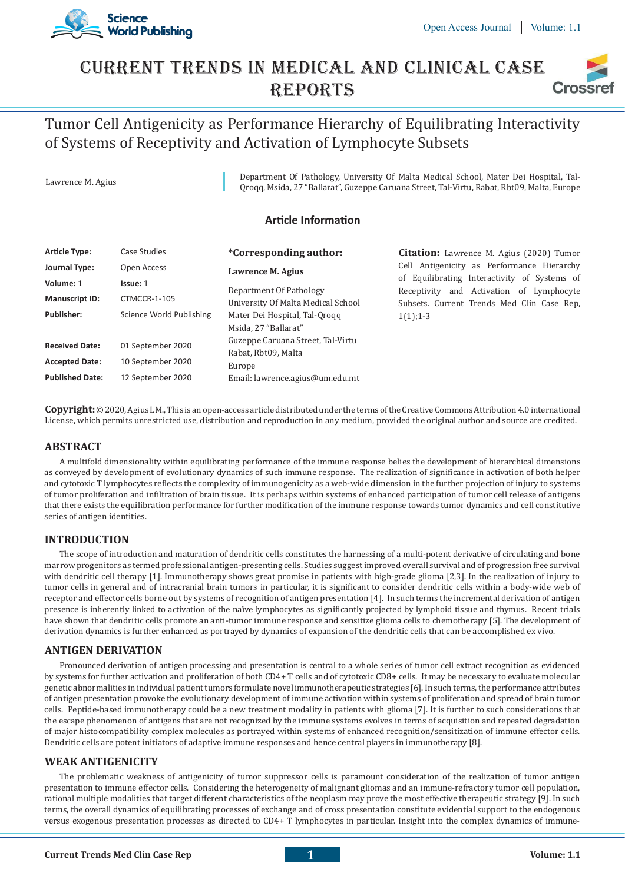

## Current Trends In Medical And Clinical Case **REPORTS Crossi**

# Tumor Cell Antigenicity as Performance Hierarchy of Equilibrating Interactivity of Systems of Receptivity and Activation of Lymphocyte Subsets

Lawrence M. Agius Department Of Pathology, University Of Malta Medical School, Mater Dei Hospital, Tal-Qroqq, Msida, 27 "Ballarat", Guzeppe Caruana Street, Tal-Virtu, Rabat, Rbt09, Malta, Europe

#### **Article Information**

| <b>Article Type:</b>   | Case Studies             | <i>*Corresponding author:</i>      | <b>Citation:</b> Lawrence M. Agius (2020) Tumor |
|------------------------|--------------------------|------------------------------------|-------------------------------------------------|
| Journal Type:          | Open Access              | Lawrence M. Agius                  | Cell Antigenicity as Performance Hierarchy      |
| Volume: 1              | Issue: 1                 |                                    | of Equilibrating Interactivity of Systems of    |
|                        |                          | Department Of Pathology            | Receptivity and Activation of Lymphocyte        |
| <b>Manuscript ID:</b>  | CTMCCR-1-105             | University Of Malta Medical School | Subsets. Current Trends Med Clin Case Rep.      |
| <b>Publisher:</b>      | Science World Publishing | Mater Dei Hospital, Tal-Orogg      | $1(1); 1-3$                                     |
|                        |                          | Msida, 27 "Ballarat"               |                                                 |
| <b>Received Date:</b>  | 01 September 2020        | Guzeppe Caruana Street, Tal-Virtu  |                                                 |
|                        |                          | Rabat, Rbt09, Malta                |                                                 |
| <b>Accepted Date:</b>  | 10 September 2020        | Europe                             |                                                 |
| <b>Published Date:</b> | 12 September 2020        | Email: lawrence.agius@um.edu.mt    |                                                 |

**Copyright:**© 2020, Agius LM., This is an open-access article distributed under the terms of the Creative Commons Attribution 4.0 international License, which permits unrestricted use, distribution and reproduction in any medium, provided the original author and source are credited.

#### **ABSTRACT**

A multifold dimensionality within equilibrating performance of the immune response belies the development of hierarchical dimensions as conveyed by development of evolutionary dynamics of such immune response. The realization of significance in activation of both helper and cytotoxic T lymphocytes reflects the complexity of immunogenicity as a web-wide dimension in the further projection of injury to systems of tumor proliferation and infiltration of brain tissue. It is perhaps within systems of enhanced participation of tumor cell release of antigens that there exists the equilibration performance for further modification of the immune response towards tumor dynamics and cell constitutive series of antigen identities.

### **INTRODUCTION**

The scope of introduction and maturation of dendritic cells constitutes the harnessing of a multi-potent derivative of circulating and bone marrow progenitors as termed professional antigen-presenting cells. Studies suggest improved overall survival and of progression free survival with dendritic cell therapy [1]. Immunotherapy shows great promise in patients with high-grade glioma [2,3]. In the realization of injury to tumor cells in general and of intracranial brain tumors in particular, it is significant to consider dendritic cells within a body-wide web of receptor and effector cells borne out by systems of recognition of antigen presentation [4]. In such terms the incremental derivation of antigen presence is inherently linked to activation of the naïve lymphocytes as significantly projected by lymphoid tissue and thymus. Recent trials have shown that dendritic cells promote an anti-tumor immune response and sensitize glioma cells to chemotherapy [5]. The development of derivation dynamics is further enhanced as portrayed by dynamics of expansion of the dendritic cells that can be accomplished ex vivo.

#### **ANTIGEN DERIVATION**

Pronounced derivation of antigen processing and presentation is central to a whole series of tumor cell extract recognition as evidenced by systems for further activation and proliferation of both CD4+ T cells and of cytotoxic CD8+ cells. It may be necessary to evaluate molecular genetic abnormalities in individual patient tumors formulate novel immunotherapeutic strategies [6]. In such terms, the performance attributes of antigen presentation provoke the evolutionary development of immune activation within systems of proliferation and spread of brain tumor cells. Peptide-based immunotherapy could be a new treatment modality in patients with glioma [7]. It is further to such considerations that the escape phenomenon of antigens that are not recognized by the immune systems evolves in terms of acquisition and repeated degradation of major histocompatibility complex molecules as portrayed within systems of enhanced recognition/sensitization of immune effector cells. Dendritic cells are potent initiators of adaptive immune responses and hence central players in immunotherapy [8].

#### **WEAK ANTIGENICITY**

The problematic weakness of antigenicity of tumor suppressor cells is paramount consideration of the realization of tumor antigen presentation to immune effector cells. Considering the heterogeneity of malignant gliomas and an immune-refractory tumor cell population, rational multiple modalities that target different characteristics of the neoplasm may prove the most effective therapeutic strategy [9]. In such terms, the overall dynamics of equilibrating processes of exchange and of cross presentation constitute evidential support to the endogenous versus exogenous presentation processes as directed to CD4+ T lymphocytes in particular. Insight into the complex dynamics of immune-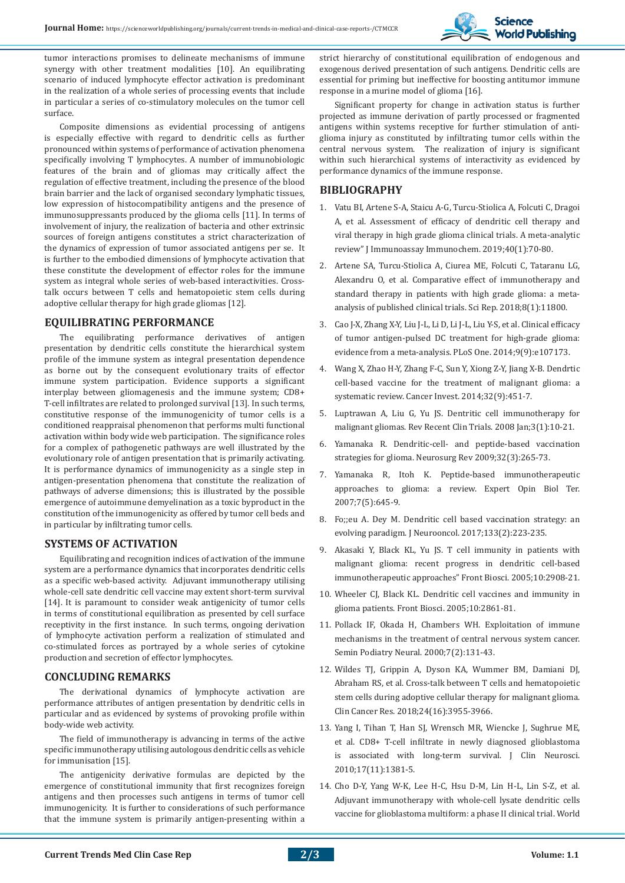

tumor interactions promises to delineate mechanisms of immune synergy with other treatment modalities [10]. An equilibrating scenario of induced lymphocyte effector activation is predominant in the realization of a whole series of processing events that include in particular a series of co-stimulatory molecules on the tumor cell surface.

Composite dimensions as evidential processing of antigens is especially effective with regard to dendritic cells as further pronounced within systems of performance of activation phenomena specifically involving T lymphocytes. A number of immunobiologic features of the brain and of gliomas may critically affect the regulation of effective treatment, including the presence of the blood brain barrier and the lack of organised secondary lymphatic tissues, low expression of histocompatibility antigens and the presence of immunosuppressants produced by the glioma cells [11]. In terms of involvement of injury, the realization of bacteria and other extrinsic sources of foreign antigens constitutes a strict characterization of the dynamics of expression of tumor associated antigens per se. It is further to the embodied dimensions of lymphocyte activation that these constitute the development of effector roles for the immune system as integral whole series of web-based interactivities. Crosstalk occurs between T cells and hematopoietic stem cells during adoptive cellular therapy for high grade gliomas [12].

#### **EQUILIBRATING PERFORMANCE**

The equilibrating performance derivatives of antigen presentation by dendritic cells constitute the hierarchical system profile of the immune system as integral presentation dependence as borne out by the consequent evolutionary traits of effector immune system participation. Evidence supports a significant interplay between gliomagenesis and the immune system; CD8+ T-cell infiltrates are related to prolonged survival [13]. In such terms, constitutive response of the immunogenicity of tumor cells is a conditioned reappraisal phenomenon that performs multi functional activation within body wide web participation. The significance roles for a complex of pathogenetic pathways are well illustrated by the evolutionary role of antigen presentation that is primarily activating. It is performance dynamics of immunogenicity as a single step in antigen-presentation phenomena that constitute the realization of pathways of adverse dimensions; this is illustrated by the possible emergence of autoimmune demyelination as a toxic byproduct in the constitution of the immunogenicity as offered by tumor cell beds and in particular by infiltrating tumor cells.

#### **SYSTEMS OF ACTIVATION**

Equilibrating and recognition indices of activation of the immune system are a performance dynamics that incorporates dendritic cells as a specific web-based activity. Adjuvant immunotherapy utilising whole-cell sate dendritic cell vaccine may extent short-term survival [14]. It is paramount to consider weak antigenicity of tumor cells in terms of constitutional equilibration as presented by cell surface receptivity in the first instance. In such terms, ongoing derivation of lymphocyte activation perform a realization of stimulated and co-stimulated forces as portrayed by a whole series of cytokine production and secretion of effector lymphocytes.

#### **CONCLUDING REMARKS**

The derivational dynamics of lymphocyte activation are performance attributes of antigen presentation by dendritic cells in particular and as evidenced by systems of provoking profile within body-wide web activity.

The field of immunotherapy is advancing in terms of the active specific immunotherapy utilising autologous dendritic cells as vehicle for immunisation [15].

The antigenicity derivative formulas are depicted by the emergence of constitutional immunity that first recognizes foreign antigens and then processes such antigens in terms of tumor cell immunogenicity. It is further to considerations of such performance that the immune system is primarily antigen-presenting within a

strict hierarchy of constitutional equilibration of endogenous and exogenous derived presentation of such antigens. Dendritic cells are essential for priming but ineffective for boosting antitumor immune response in a murine model of glioma [16].

Significant property for change in activation status is further projected as immune derivation of partly processed or fragmented antigens within systems receptive for further stimulation of antiglioma injury as constituted by infiltrating tumor cells within the central nervous system. The realization of injury is significant within such hierarchical systems of interactivity as evidenced by performance dynamics of the immune response.

#### **BIBLIOGRAPHY**

- 1. Vatu BI, Artene S-A, Staicu A-G, Turcu-Stiolica A, Folcuti C, Dragoi A, et al. Assessment of efficacy of dendritic cell therapy and viral therapy in high grade glioma clinical trials. A meta-analytic review" J Immunoassay Immunochem. 2019;40(1):70-80.
- 2. Artene SA, Turcu-Stiolica A, Ciurea ME, Folcuti C, Tataranu LG, Alexandru O, et al. Comparative effect of immunotherapy and standard therapy in patients with high grade glioma: a metaanalysis of published clinical trials. Sci Rep. 2018;8(1):11800.
- 3. Cao J-X, Zhang X-Y, Liu J-L, Li D, Li J-L, Liu Y-S, et al. Clinical efficacy of tumor antigen-pulsed DC treatment for high-grade glioma: evidence from a meta-analysis. PLoS One. 2014;9(9):e107173.
- 4. Wang X, Zhao H-Y, Zhang F-C, Sun Y, Xiong Z-Y, Jiang X-B. Dendrtic cell-based vaccine for the treatment of malignant glioma: a systematic review. Cancer Invest. 2014;32(9):451-7.
- 5. Luptrawan A, Liu G, Yu JS. Dentritic cell immunotherapy for malignant gliomas. Rev Recent Clin Trials. 2008 Jan;3(1):10-21.
- 6. Yamanaka R. Dendritic-cell- and peptide-based vaccination strategies for glioma. Neurosurg Rev 2009;32(3):265-73.
- 7. Yamanaka R, Itoh K. Peptide-based immunotherapeutic approaches to glioma: a review. Expert Opin Biol Ter. 2007;7(5):645-9.
- 8. Fo;;eu A. Dey M. Dendritic cell based vaccination strategy: an evolving paradigm. J Neurooncol. 2017;133(2):223-235.
- 9. Akasaki Y, Black KL, Yu JS. T cell immunity in patients with malignant glioma: recent progress in dendritic cell-based immunotherapeutic approaches" Front Biosci. 2005;10:2908-21.
- 10. Wheeler CJ, Black KL. Dendritic cell vaccines and immunity in glioma patients. Front Biosci. 2005;10:2861-81.
- 11. Pollack IF, Okada H, Chambers WH. Exploitation of immune mechanisms in the treatment of central nervous system cancer. Semin Podiatry Neural. 2000;7(2):131-43.
- 12. Wildes TJ, Grippin A, Dyson KA, Wummer BM, Damiani DJ, Abraham RS, et al. Cross-talk between T cells and hematopoietic stem cells during adoptive cellular therapy for malignant glioma. Clin Cancer Res. 2018;24(16):3955-3966.
- 13. Yang I, Tihan T, Han SJ, Wrensch MR, Wiencke J, Sughrue ME, et al. CD8+ T-cell infiltrate in newly diagnosed glioblastoma is associated with long-term survival. J Clin Neurosci. 2010;17(11):1381-5.
- 14. Cho D-Y, Yang W-K, Lee H-C, Hsu D-M, Lin H-L, Lin S-Z, et al. Adjuvant immunotherapy with whole-cell lysate dendritic cells vaccine for glioblastoma multiform: a phase II clinical trial. World